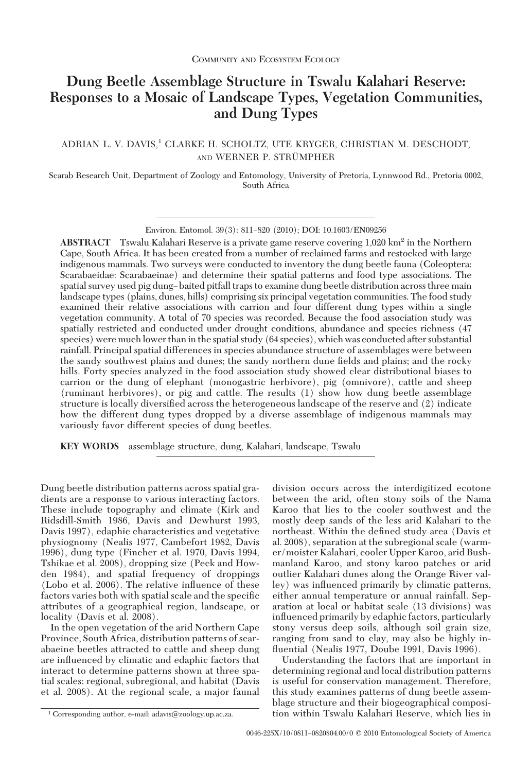# **Dung Beetle Assemblage Structure in Tswalu Kalahari Reserve: Responses to a Mosaic of Landscape Types, Vegetation Communities, and Dung Types**

## ADRIAN L. V. DAVIS,<sup>1</sup> CLARKE H. SCHOLTZ, UTE KRYGER, CHRISTIAN M. DESCHODT, AND WERNER P. STRÜMPHER

Scarab Research Unit, Department of Zoology and Entomology, University of Pretoria, Lynnwood Rd., Pretoria 0002, South Africa

Environ. Entomol. 39(3): 811-820 (2010); DOI: 10.1603/EN09256

**ABSTRACT** Tswalu Kalahari Reserve is a private game reserve covering 1,020 km<sup>2</sup> in the Northern Cape, South Africa. It has been created from a number of reclaimed farms and restocked with large indigenous mammals. Two surveys were conducted to inventory the dung beetle fauna (Coleoptera: Scarabaeidae: Scarabaeinae) and determine their spatial patterns and food type associations. The spatial survey used pig dung–baited pitfall traps to examine dung beetle distribution across three main landscape types (plains, dunes, hills) comprising six principal vegetation communities. The food study examined their relative associations with carrion and four different dung types within a single vegetation community. A total of 70 species was recorded. Because the food association study was spatially restricted and conducted under drought conditions, abundance and species richness (47 species) were much lower than in the spatial study (64 species), which was conducted after substantial rainfall. Principal spatial differences in species abundance structure of assemblages were between the sandy southwest plains and dunes; the sandy northern dune fields and plains; and the rocky hills. Forty species analyzed in the food association study showed clear distributional biases to carrion or the dung of elephant (monogastric herbivore), pig (omnivore), cattle and sheep (ruminant herbivores), or pig and cattle. The results (1) show how dung beetle assemblage structure is locally diversified across the heterogeneous landscape of the reserve and (2) indicate how the different dung types dropped by a diverse assemblage of indigenous mammals may variously favor different species of dung beetles.

**KEY WORDS** assemblage structure, dung, Kalahari, landscape, Tswalu

Dung beetle distribution patterns across spatial gradients are a response to various interacting factors. These include topography and climate (Kirk and Ridsdill-Smith 1986, Davis and Dewhurst 1993, Davis 1997), edaphic characteristics and vegetative physiognomy (Nealis 1977, Cambefort 1982, Davis 1996), dung type (Fincher et al. 1970, Davis 1994, Tshikae et al. 2008), dropping size (Peck and Howden 1984), and spatial frequency of droppings (Lobo et al. 2006). The relative inßuence of these factors varies both with spatial scale and the specific attributes of a geographical region, landscape, or locality (Davis et al. 2008).

In the open vegetation of the arid Northern Cape Province, South Africa, distribution patterns of scarabaeine beetles attracted to cattle and sheep dung are inßuenced by climatic and edaphic factors that interact to determine patterns shown at three spatial scales: regional, subregional, and habitat (Davis et al. 2008). At the regional scale, a major faunal

division occurs across the interdigitized ecotone between the arid, often stony soils of the Nama Karoo that lies to the cooler southwest and the mostly deep sands of the less arid Kalahari to the northeast. Within the defined study area (Davis et al. 2008), separation at the subregional scale (warmer/moister Kalahari, cooler Upper Karoo, arid Bushmanland Karoo, and stony karoo patches or arid outlier Kalahari dunes along the Orange River valley) was inßuenced primarily by climatic patterns, either annual temperature or annual rainfall. Separation at local or habitat scale (13 divisions) was inßuenced primarily by edaphic factors, particularly stony versus deep soils, although soil grain size, ranging from sand to clay, may also be highly inßuential (Nealis 1977, Doube 1991, Davis 1996).

Understanding the factors that are important in determining regional and local distribution patterns is useful for conservation management. Therefore, this study examines patterns of dung beetle assemblage structure and their biogeographical composi- <sup>1</sup> Corresponding author, e-mail: adavis@zoology.up.ac.za. tion within Tswalu Kalahari Reserve, which lies in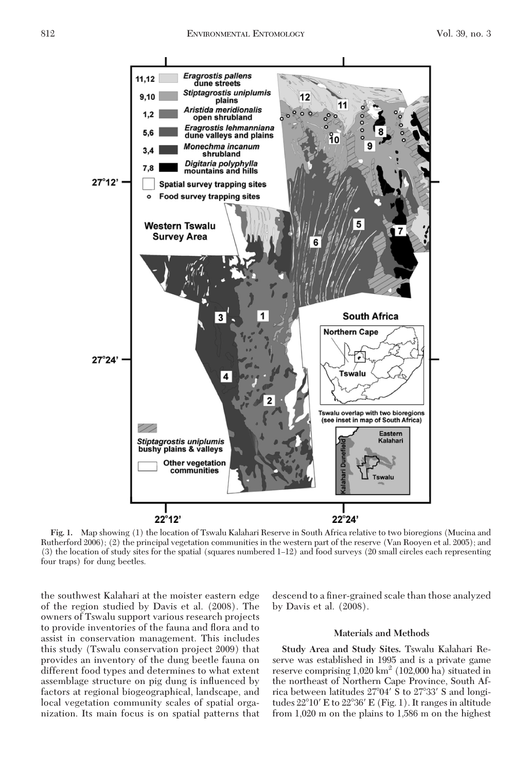

**Fig. 1.** Map showing (1) the location of Tswalu Kalahari Reserve in South Africa relative to two bioregions (Mucina and Rutherford 2006); (2) the principal vegetation communities in the western part of the reserve (Van Rooyen et al. 2005); and  $(3)$  the location of study sites for the spatial (squares numbered  $1-12$ ) and food surveys  $(20 \text{ small circles each representing})$ four traps) for dung beetles.

the southwest Kalahari at the moister eastern edge of the region studied by Davis et al. (2008). The owners of Tswalu support various research projects to provide inventories of the fauna and ßora and to assist in conservation management. This includes this study (Tswalu conservation project 2009) that provides an inventory of the dung beetle fauna on different food types and determines to what extent assemblage structure on pig dung is inßuenced by factors at regional biogeographical, landscape, and local vegetation community scales of spatial organization. Its main focus is on spatial patterns that

descend to a finer-grained scale than those analyzed by Davis et al. (2008).

## **Materials and Methods**

**Study Area and Study Sites.** Tswalu Kalahari Reserve was established in 1995 and is a private game reserve comprising  $1,020 \text{ km}^2$  (102,000 ha) situated in the northeast of Northern Cape Province, South Africa between latitudes 27°04′ S to 27°33′ S and longitudes 22°10' E to 22°36' E (Fig. 1). It ranges in altitude from 1,020 m on the plains to 1,586 m on the highest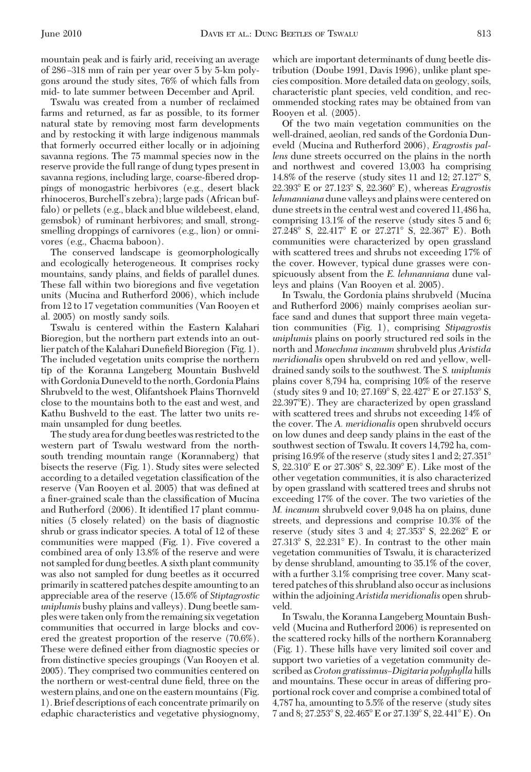Tswalu was created from a number of reclaimed farms and returned, as far as possible, to its former natural state by removing most farm developments and by restocking it with large indigenous mammals that formerly occurred either locally or in adjoining savanna regions. The 75 mammal species now in the reserve provide the full range of dung types present in savanna regions, including large, coarse-fibered droppings of monogastric herbivores (e.g., desert black rhinoceros, Burchell's zebra); large pads (African buffalo) or pellets (e.g., black and blue wildebeest, eland, gemsbok) of ruminant herbivores; and small, strongsmelling droppings of carnivores (e.g., lion) or omnivores (e.g., Chacma baboon).

The conserved landscape is geomorphologically and ecologically heterogeneous. It comprises rocky mountains, sandy plains, and fields of parallel dunes. These fall within two bioregions and five vegetation units (Mucina and Rutherford 2006), which include from 12 to 17 vegetation communities (Van Rooyen et al. 2005) on mostly sandy soils.

Tswalu is centered within the Eastern Kalahari Bioregion, but the northern part extends into an outlier patch of the Kalahari Dunefield Bioregion (Fig. 1). The included vegetation units comprise the northern tip of the Koranna Langeberg Mountain Bushveld with Gordonia Duneveld to the north, Gordonia Plains Shrubveld to the west, Olifantshoek Plains Thornveld close to the mountains both to the east and west, and Kathu Bushveld to the east. The latter two units remain unsampled for dung beetles.

The study area for dung beetles was restricted to the western part of Tswalu westward from the northsouth trending mountain range (Korannaberg) that bisects the reserve (Fig. 1). Study sites were selected according to a detailed vegetation classification of the reserve (Van Rooyen et al. 2005) that was defined at a finer-grained scale than the classification of Mucina and Rutherford (2006). It identified 17 plant communities (5 closely related) on the basis of diagnostic shrub or grass indicator species. A total of 12 of these communities were mapped (Fig. 1). Five covered a combined area of only 13.8% of the reserve and were not sampled for dung beetles. A sixth plant community was also not sampled for dung beetles as it occurred primarily in scattered patches despite amounting to an appreciable area of the reserve (15.6% of *Stiptagrostic uniplumis* bushy plains and valleys). Dung beetle samples were taken only from the remaining six vegetation communities that occurred in large blocks and covered the greatest proportion of the reserve (70.6%). These were defined either from diagnostic species or from distinctive species groupings (Van Rooyen et al. 2005). They comprised two communities centered on the northern or west-central dune field, three on the western plains, and one on the eastern mountains (Fig. 1). Brief descriptions of each concentrate primarily on edaphic characteristics and vegetative physiognomy, which are important determinants of dung beetle distribution (Doube 1991, Davis 1996), unlike plant species composition. More detailed data on geology, soils, characteristic plant species, veld condition, and recommended stocking rates may be obtained from van Rooyen et al. (2005).

Of the two main vegetation communities on the well-drained, aeolian, red sands of the Gordonia Duneveld (Mucina and Rutherford 2006), *Eragrostis pallens* dune streets occurred on the plains in the north and northwest and covered 13,003 ha comprising 14.8% of the reserve (study sites 11 and  $12$ ; 27.127 $\textdegree$  S, 22.393 E or 27.123 S, 22.360 E), whereas *Eragrostis lehmanniana* dune valleys and plains were centered on dune streets in the central west and covered 11,486 ha, comprising 13.1% of the reserve (study sites 5 and 6;  $27.248^{\circ}$  S,  $22.417^{\circ}$  E or  $27.271^{\circ}$  S,  $22.367^{\circ}$  E). Both communities were characterized by open grassland with scattered trees and shrubs not exceeding 17% of the cover. However, typical dune grasses were conspicuously absent from the *E. lehmanniana* dune valleys and plains (Van Rooyen et al. 2005).

In Tswalu, the Gordonia plains shrubveld (Mucina and Rutherford 2006) mainly comprises aeolian surface sand and dunes that support three main vegetation communities (Fig. 1), comprising *Stipagrostis uniplumis* plains on poorly structured red soils in the north and *Monechma incanum* shrubveld plus *Aristida meridionalis* open shrubveld on red and yellow, welldrained sandy soils to the southwest. The *S. uniplumis* plains cover 8,794 ha, comprising 10% of the reserve (study sites 9 and 10; 27.169° S, 22.427° E or 27.153° S, 22.397E). They are characterized by open grassland with scattered trees and shrubs not exceeding 14% of the cover. The *A. meridionalis* open shrubveld occurs on low dunes and deep sandy plains in the east of the southwest section of Tswalu. It covers 14,792 ha, comprising 16.9% of the reserve (study sites 1 and 2; 27.351 S,  $22.310^{\circ}$  E or  $27.308^{\circ}$  S,  $22.309^{\circ}$  E). Like most of the other vegetation communities, it is also characterized by open grassland with scattered trees and shrubs not exceeding 17% of the cover. The two varieties of the *M. incanum* shrubveld cover 9,048 ha on plains, dune streets, and depressions and comprise 10.3% of the reserve (study sites 3 and 4; 27.353° S, 22.262° E or  $27.313^{\circ}$  S,  $22.231^{\circ}$  E). In contrast to the other main vegetation communities of Tswalu, it is characterized by dense shrubland, amounting to 35.1% of the cover, with a further 3.1% comprising tree cover. Many scattered patches of this shrubland also occur as inclusions within the adjoining *Aristida meridionalis* open shrubveld.

In Tswalu, the Koranna Langeberg Mountain Bushveld (Mucina and Rutherford 2006) is represented on the scattered rocky hills of the northern Korannaberg (Fig. 1). These hills have very limited soil cover and support two varieties of a vegetation community described as*Croton gratissimus–Digitaria polyphylla* hills and mountains. These occur in areas of differing proportional rock cover and comprise a combined total of 4,787 ha, amounting to 5.5% of the reserve (study sites 7 and 8; 27.253° S, 22.465° E or 27.139° S, 22.441° E). On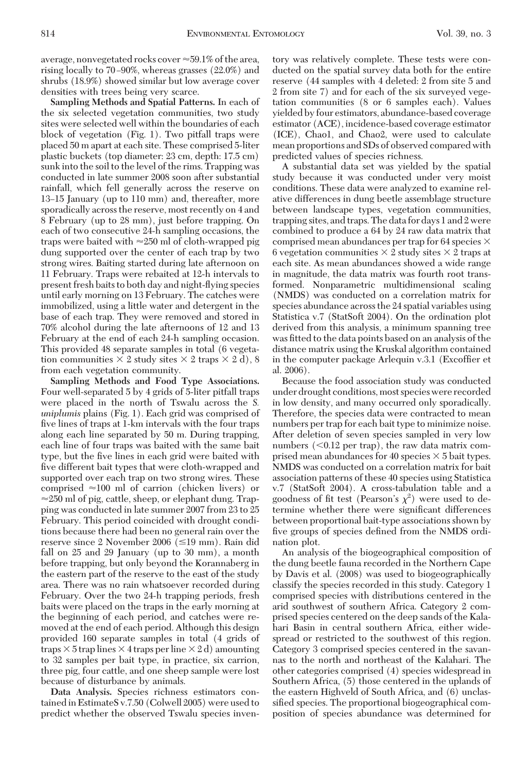average, nonvegetated rocks cover  $\approx$  59.1% of the area, rising locally to 70-90%, whereas grasses (22.0%) and shrubs (18.9%) showed similar but low average cover densities with trees being very scarce.

**Sampling Methods and Spatial Patterns.** In each of the six selected vegetation communities, two study sites were selected well within the boundaries of each block of vegetation (Fig. 1). Two pitfall traps were placed 50 m apart at each site. These comprised 5-liter plastic buckets (top diameter: 23 cm, depth: 17.5 cm) sunk into the soil to the level of the rims. Trapping was conducted in late summer 2008 soon after substantial rainfall, which fell generally across the reserve on 13–15 January (up to 110 mm) and, thereafter, more sporadically across the reserve, most recently on 4 and 8 February (up to 28 mm), just before trapping. On each of two consecutive 24-h sampling occasions, the traps were baited with  $\approx 250$  ml of cloth-wrapped pig dung supported over the center of each trap by two strong wires. Baiting started during late afternoon on 11 February. Traps were rebaited at 12-h intervals to present fresh baits to both day and night-ßying species until early morning on 13 February. The catches were immobilized, using a little water and detergent in the base of each trap. They were removed and stored in 70% alcohol during the late afternoons of 12 and 13 February at the end of each 24-h sampling occasion. This provided 48 separate samples in total (6 vegetation communities  $\times$  2 study sites  $\times$  2 traps  $\times$  2 d), 8 from each vegetation community.

**Sampling Methods and Food Type Associations.** Four well-separated 5 by 4 grids of 5-liter pitfall traps were placed in the north of Tswalu across the *S. uniplumis* plains (Fig. 1). Each grid was comprised of five lines of traps at 1-km intervals with the four traps along each line separated by 50 m. During trapping, each line of four traps was baited with the same bait type, but the five lines in each grid were baited with five different bait types that were cloth-wrapped and supported over each trap on two strong wires. These comprised  $\approx 100$  ml of carrion (chicken livers) or  $\approx$ 250 ml of pig, cattle, sheep, or elephant dung. Trapping was conducted in late summer 2007 from 23 to 25 February. This period coincided with drought conditions because there had been no general rain over the reserve since 2 November 2006 ( $\leq$ 19 mm). Rain did fall on 25 and 29 January (up to 30 mm), a month before trapping, but only beyond the Korannaberg in the eastern part of the reserve to the east of the study area. There was no rain whatsoever recorded during February. Over the two 24-h trapping periods, fresh baits were placed on the traps in the early morning at the beginning of each period, and catches were removed at the end of each period. Although this design provided 160 separate samples in total (4 grids of traps  $\times$  5 trap lines  $\times$  4 traps per line  $\times$  2 d) amounting to 32 samples per bait type, in practice, six carrion, three pig, four cattle, and one sheep sample were lost because of disturbance by animals.

**Data Analysis.** Species richness estimators contained in EstimateS v.7.50 (Colwell 2005) were used to predict whether the observed Tswalu species inventory was relatively complete. These tests were conducted on the spatial survey data both for the entire reserve (44 samples with 4 deleted: 2 from site 5 and 2 from site 7) and for each of the six surveyed vegetation communities (8 or 6 samples each). Values yielded by four estimators, abundance-based coverage estimator (ACE), incidence-based coverage estimator (ICE), Chao1, and Chao2, were used to calculate mean proportions and SDs of observed compared with predicted values of species richness.

A substantial data set was yielded by the spatial study because it was conducted under very moist conditions. These data were analyzed to examine relative differences in dung beetle assemblage structure between landscape types, vegetation communities, trapping sites, and traps. The data for days 1 and 2 were combined to produce a 64 by 24 raw data matrix that comprised mean abundances per trap for 64 species  $\times$ 6 vegetation communities  $\times$  2 study sites  $\times$  2 traps at each site. As mean abundances showed a wide range in magnitude, the data matrix was fourth root transformed. Nonparametric multidimensional scaling (NMDS) was conducted on a correlation matrix for species abundance across the 24 spatial variables using Statistica v.7 (StatSoft 2004). On the ordination plot derived from this analysis, a minimum spanning tree was fitted to the data points based on an analysis of the distance matrix using the Kruskal algorithm contained in the computer package Arlequin v.3.1 (Excoffier et al. 2006).

Because the food association study was conducted under drought conditions,most species were recorded in low density, and many occurred only sporadically. Therefore, the species data were contracted to mean numbers per trap for each bait type to minimize noise. After deletion of seven species sampled in very low numbers  $(<0.12$  per trap), the raw data matrix comprised mean abundances for 40 species  $\times$  5 bait types. NMDS was conducted on a correlation matrix for bait association patterns of these 40 species using Statistica v.7 (StatSoft 2004). A cross-tabulation table and a goodness of fit test (Pearson's  $\chi^2$ ) were used to determine whether there were significant differences between proportional bait-type associations shown by five groups of species defined from the NMDS ordination plot.

An analysis of the biogeographical composition of the dung beetle fauna recorded in the Northern Cape by Davis et al. (2008) was used to biogeographically classify the species recorded in this study. Category 1 comprised species with distributions centered in the arid southwest of southern Africa. Category 2 comprised species centered on the deep sands of the Kalahari Basin in central southern Africa, either widespread or restricted to the southwest of this region. Category 3 comprised species centered in the savannas to the north and northeast of the Kalahari. The other categories comprised (4) species widespread in Southern Africa, (5) those centered in the uplands of the eastern Highveld of South Africa, and (6) unclassified species. The proportional biogeographical composition of species abundance was determined for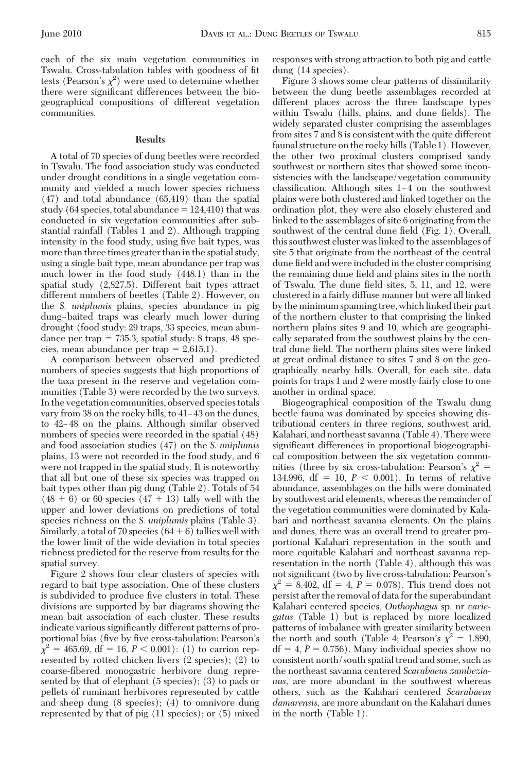each of the six main vegetation communities in Tswalu. Cross-tabulation tables with goodness of fit tests (Pearson's  $\chi^2$ ) were used to determine whether there were significant differences between the biogeographical compositions of different vegetation communities.

## **Results**

A total of 70 species of dung beetles were recorded in Tswalu. The food association study was conducted under drought conditions in a single vegetation community and yielded a much lower species richness (47) and total abundance (65,419) than the spatial study (64 species, total abundance  $= 124,410$ ) that was conducted in six vegetation communities after substantial rainfall (Tables 1 and 2). Although trapping intensity in the food study, using five bait types, was more than three times greater than in the spatial study, using a single bait type, mean abundance per trap was much lower in the food study (448.1) than in the spatial study (2,827.5). Different bait types attract different numbers of beetles (Table 2). However, on the *S. uniplumis* plains, species abundance in pig dung-baited traps was clearly much lower during drought (food study: 29 traps, 33 species, mean abundance per trap  $= 735.3$ ; spatial study: 8 traps, 48 species, mean abundance per trap  $= 2,615.1$ .

A comparison between observed and predicted numbers of species suggests that high proportions of the taxa present in the reserve and vegetation communities (Table 3) were recorded by the two surveys. In the vegetation communities, observed species totals vary from 38 on the rocky hills, to 41–43 on the dunes, to 42–48 on the plains. Although similar observed numbers of species were recorded in the spatial (48) and food association studies (47) on the *S. uniplumis* plains, 13 were not recorded in the food study, and 6 were not trapped in the spatial study. It is noteworthy that all but one of these six species was trapped on bait types other than pig dung (Table 2). Totals of 54  $(48 + 6)$  or 60 species  $(47 + 13)$  tally well with the upper and lower deviations on predictions of total species richness on the *S. uniplumis* plains (Table 3). Similarly, a total of 70 species  $(64 + 6)$  tallies well with the lower limit of the wide deviation in total species richness predicted for the reserve from results for the spatial survey.

Figure 2 shows four clear clusters of species with regard to bait type association. One of these clusters is subdivided to produce five clusters in total. These divisions are supported by bar diagrams showing the mean bait association of each cluster. These results indicate various significantly different patterns of proportional bias (five by five cross-tabulation: Pearson's  $\chi^2 = 465.69, \text{ df} = 16, P < 0.001$ : (1) to carrion represented by rotted chicken livers (2 species); (2) to coarse-fibered monogastric herbivore dung represented by that of elephant (5 species); (3) to pads or pellets of ruminant herbivores represented by cattle and sheep dung (8 species); (4) to omnivore dung represented by that of pig (11 species); or (5) mixed

responses with strong attraction to both pig and cattle dung (14 species).

Figure 3 shows some clear patterns of dissimilarity between the dung beetle assemblages recorded at different places across the three landscape types within Tswalu (hills, plains, and dune fields). The widely separated cluster comprising the assemblages from sites 7 and 8 is consistent with the quite different faunal structure on the rocky hills (Table 1). However, the other two proximal clusters comprised sandy southwest or northern sites that showed some inconsistencies with the landscape/vegetation community  $classification. Although sites 1-4 on the southwest$ plains were both clustered and linked together on the ordination plot, they were also closely clustered and linked to the assemblages of site 6 originating from the southwest of the central dune field (Fig. 1). Overall, this southwest cluster was linked to the assemblages of site 5 that originate from the northeast of the central dune field and were included in the cluster comprising the remaining dune field and plains sites in the north of Tswalu. The dune field sites, 5, 11, and 12, were clustered in a fairly diffuse manner but were all linked by the minimum spanning tree, which linked their part of the northern cluster to that comprising the linked northern plains sites 9 and 10, which are geographically separated from the southwest plains by the central dune field. The northern plains sites were linked at great ordinal distance to sites 7 and 8 on the geographically nearby hills. Overall, for each site, data points for traps 1 and 2 were mostly fairly close to one another in ordinal space.

Biogeographical composition of the Tswalu dung beetle fauna was dominated by species showing distributional centers in three regions, southwest arid, Kalahari, and northeast savanna (Table 4). There were significant differences in proportional biogeographical composition between the six vegetation communities (three by six cross-tabulation: Pearson's  $\chi^2$  = 134.996,  $df = 10$ ,  $P < 0.001$ ). In terms of relative abundance, assemblages on the hills were dominated by southwest arid elements, whereas the remainder of the vegetation communities were dominated by Kalahari and northeast savanna elements. On the plains and dunes, there was an overall trend to greater proportional Kalahari representation in the south and more equitable Kalahari and northeast savanna representation in the north (Table 4), although this was not significant (two by five cross-tabulation: Pearson's  $\chi^2 = 8.402$ , df = 4,  $\dot{P} = 0.078$ ). This trend does not persist after the removal of data for the superabundant Kalahari centered species, *Onthophagus* sp. nr *variegatus* (Table 1) but is replaced by more localized patterns of imbalance with greater similarity between the north and south (Table 4; Pearson's  $\chi^2 = 1.890$ ,  $df = 4$ ,  $P = 0.756$ ). Many individual species show no consistent north/south spatial trend and some, such as the northeast savanna centered *Scarabaeus zambezianus,* are more abundant in the southwest whereas others, such as the Kalahari centered *Scarabaeus damarensis,* are more abundant on the Kalahari dunes in the north (Table 1).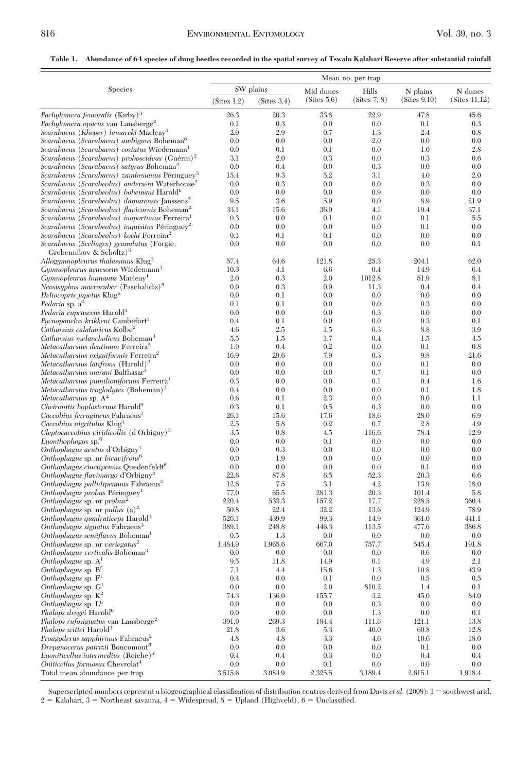## **Table 1. Abundance of 64 species of dung beetles recorded in the spatial survey of Tswalu Kalahari Reserve after substantial rainfall**

|                                                                                                                          | Mean no. per trap |                          |                          |                       |                          |                          |
|--------------------------------------------------------------------------------------------------------------------------|-------------------|--------------------------|--------------------------|-----------------------|--------------------------|--------------------------|
| Species                                                                                                                  | (Sites 1,2)       | SW plains<br>(Sites 3,4) | Mid dunes<br>(Sites 5,6) | Hills<br>(Sites 7, 8) | N plains<br>(Sites 9,10) | N dunes<br>(Sites 11,12) |
| Pachylomera femoralis $(Kirby)^3$                                                                                        | 26.3              | 20.3                     | 33.8                     | 22.9                  | 47.8                     | 45.6                     |
| Pachylomera opacus van Lansberge <sup>2</sup>                                                                            | 0.1               | 0.3                      | 0.0                      | 0.0                   | 0.1                      | 0.3                      |
| Scarabaeus (Kheper) lamarcki Macleay <sup>3</sup>                                                                        | 2.9               | 2.9                      | 0.7                      | 1.3                   | 2.4                      | 0.8                      |
| Scarabaeus (Scarabaeus) ambiguus Boheman <sup>6</sup>                                                                    | 0.0               | 0.0                      | 0.0                      | 2.0                   | 0.0                      | 0.0                      |
| Scarabaeus (Scarabaeus) costatus Wiedemann <sup>1</sup>                                                                  | 0.0               | 0.1                      | 0.1                      | 0.0                   | 1.0                      | 2.8                      |
| Scarabaeus (Scarabaeus) proboscideus (Guérin) <sup>2</sup>                                                               | 3.1               | 2.0                      | 0.3                      | 0.0                   | 0.3                      | 0.6                      |
| Scarabaeus (Scarabaeus) satyrus Boheman <sup>2</sup>                                                                     | 0.0               | 0.4                      | 0.0<br>5.2               | 0.3<br>3.1            | 0.0<br>4.0               | 0.0                      |
| Scarabaeus (Scarabaeus) zambesianus Péringuey <sup>3</sup><br>Scarabaeus (Scarabeolus) anderseni Waterhouse <sup>2</sup> | 15.4<br>0.0       | 9.3<br>0.3               | 0.0                      | 0.0                   | 0.3                      | 2.0<br>0.0               |
| Scarabaeus (Scarabeolus) bohemani Harold <sup>6</sup>                                                                    | 0.0               | 0.0                      | 0.0                      | 0.9                   | 0.0                      | 0.0                      |
| Scarabaeus (Scarabeolus) damarensis Janssens <sup>2</sup>                                                                | 9.5               | 3.6                      | 5.9                      | 0.0                   | 8.9                      | 21.9                     |
| Scarabaeus (Scarabeolus) flavicornis Boheman <sup>2</sup>                                                                | 33.1              | 15.6                     | 36.9                     | 4.1                   | 19.4                     | 37.1                     |
| Scarabaeus (Scarabeolus) inoportunus Ferreira <sup>1</sup>                                                               | 0.3               | 0.0                      | 0.1                      | 0.0                   | 0.1                      | 5.5                      |
| Scarabaeus (Scarabeolus) inquisitus Péringuey <sup>2</sup>                                                               | 0.0               | 0.0                      | 0.0                      | 0.0                   | 0.1                      | 0.0                      |
| Scarabaeus (Scarabeolus) kochi Ferreira <sup>2</sup>                                                                     | 0.1               | 0.1                      | 0.1                      | 0.0                   | 0.0                      | 0.0                      |
| Scarabaeus (Sceliages) granulatus (Forgie,<br>Grebennikov & Scholtz) <sup>6</sup>                                        | 0.0               | 0.0                      | 0.0                      | 0.0                   | 0.0                      | 0.1                      |
| Allogymnopleurus thalassinus Klug <sup>3</sup>                                                                           | 57.4              | 64.6                     | 121.8                    | 25.3                  | 204.1                    | 62.0                     |
| Gymnopleurus aenescens Wiedemann <sup>3</sup>                                                                            | 10.3<br>2.0       | 4.1<br>0.3               | 6.6<br>2.0               | 0.4<br>1012.8         | 14.9<br>51.9             | 6.4<br>8.1               |
| Gymnopleurus humanus Macleay <sup>1</sup><br>Neosisyphus macroruber (Paschalidis) <sup>5</sup>                           | 0.0               | 0.3                      | 0.9                      | 11.3                  | 0.4                      | 0.4                      |
| Heliocopris japetus Klug <sup>6</sup>                                                                                    | 0.0               | 0.1                      | 0.0                      | 0.0                   | 0.0                      | 0.0                      |
| Pedaria sp. $a^2$                                                                                                        | 0.1               | 0.1                      | 0.0                      | 0.0                   | 0.3                      | 0.0                      |
| Pedaria cuprascens Harold <sup>4</sup>                                                                                   | 0.0               | 0.0                      | 0.0                      | 0.3                   | 0.0                      | 0.0                      |
| Pycnopanelus krikkeni Cambefort <sup>1</sup>                                                                             | 0.4               | 0.1                      | 0.0                      | 0.0                   | 0.3                      | 0.1                      |
| Catharsius calaharicus Kolbe <sup>2</sup>                                                                                | 4.6               | 2.5                      | 1.5                      | 0.3                   | 8.8                      | 3.9                      |
| Catharsius melancholicus Boheman <sup>3</sup>                                                                            | 5.5               | 1.5                      | 1.7                      | 0.4                   | 1.5                      | 4.5                      |
| Metacatharsius dentinum Ferreira <sup>2</sup>                                                                            | 1.0               | 0.4                      | 0.2                      | 0.0                   | 0.1                      | 0.8                      |
| Metacatharsius exiguiformis Ferreira <sup>2</sup>                                                                        | 16.9              | 29.6<br>0.0              | 7.9<br>0.0               | 0.3<br>0.0            | 9.8<br>0.1               | 21.6                     |
| Metacatharsius latifrons $(Harold)^2$<br>Metacatharsius marani Balthasar <sup>1</sup>                                    | 0.0<br>0.0        | 0.0                      | 0.0                      | 0.7                   | 0.1                      | 0.0<br>0.0               |
| Metacatharsius pumilioniformis Ferreira <sup>1</sup>                                                                     | 0.3               | 0.0                      | 0.0                      | 0.1                   | 0.4                      | 1.6                      |
| Metacatharsius troglodytes (Boheman) <sup>3</sup>                                                                        | 0.4               | 0.0                      | 0.0                      | 0.0                   | 0.1                      | 1.8                      |
| Metacatharsius sp. $A^2$                                                                                                 | 0.6               | 0.1                      | 2.3                      | 0.0                   | 0.0                      | 1.1                      |
| Cheironitis hoplosternus Harold <sup>5</sup>                                                                             | 0.3               | 0.1                      | 0.5                      | 0.3                   | 0.0                      | 0.0                      |
| Caccobius ferrugineus Fahraeus <sup>3</sup>                                                                              | 26.1              | 15.6                     | 17.6                     | 18.6                  | 28.0                     | 6.9                      |
| Caccobius nigritulus Klug <sup>3</sup>                                                                                   | 2.5               | 5.8                      | 0.2                      | 0.7                   | 2.8                      | 4.9                      |
| <i>Cleptocaccobius viridicollis</i> $(d'Orbigny)^3$                                                                      | 3.5               | 0.8                      | 4.5                      | 116.6                 | 78.4                     | 12.9                     |
| Euonthophagus sp. <sup>6</sup>                                                                                           | 0.0<br>0.0        | 0.0<br>0.3               | 0.1<br>0.0               | 0.0<br>0.0            | 0.0<br>0.0               | 0.0<br>0.0               |
| Onthophagus acutus d'Orbigny <sup>1</sup><br>Onthophagus sp. nr bicavifrons <sup>6</sup>                                 | 0.0               | 1.9                      | 0.0                      | 0.0                   | 0.0                      | 0.0                      |
| Onthophagus cinctipennis Quedenfeldt <sup>6</sup>                                                                        | 0.0               | 0.0                      | 0.0                      | 0.0                   | 0.1                      | 0.0                      |
| Onthophagus flavimargo d'Orbigny <sup>2</sup>                                                                            | 22.6              | 87.8                     | 6.5                      | 52.3                  | 20.3                     | 6.6                      |
| Onthophagus pallidipennnis Fahraeus <sup>3</sup>                                                                         | 12.6              | 7.5                      | 3.1                      | 4.2                   | 13.9                     | 18.0                     |
| Onthophagus probus Péringuey <sup>1</sup>                                                                                | 77.0              | 65.5                     | 281.3                    | 20.3                  | 101.4                    | 5.8                      |
| Onthophagus sp. nr $probus^2$                                                                                            | 220.4             | 533.3                    | 157.2                    | 17.7                  | 228.5                    | 360.4                    |
| Onthophagus sp. nr pullus $(a)^2$                                                                                        | 50.8              | 22.4                     | 32.2                     | 13.6                  | 124.9                    | 78.9                     |
| Onthophagus quadraticeps Harold <sup>3</sup>                                                                             | 526.1             | 439.9                    | 99.3                     | 14.9                  | 361.0                    | 441.1                    |
| Onthophagus signatus Fahraeus <sup>3</sup>                                                                               | 389.1             | 248.8                    | 446.3                    | 113.5                 | 477.6                    | 386.8                    |
| Onthophagus semiflavus Boheman <sup>1</sup><br>Onthophagus sp. nr variegatus <sup>2</sup>                                | 0.5<br>1,484.9    | 1.3<br>1,965.6           | 0.0<br>667.0             | 0.0<br>757.7          | 0.0<br>545.4             | 0.0<br>191.8             |
| Onthophagus verticalis Boheman <sup>3</sup>                                                                              | 0.0               | 0.0                      | 0.0                      | 0.0                   | 0.6                      | 0.0                      |
| Onthophagus sp. $A^1$                                                                                                    | 9.5               | 11.8                     | 14.9                     | 0.1                   | 4.9                      | 2.1                      |
| Onthophagus sp. $B^2$                                                                                                    | 7.1               | 4.4                      | 15.6                     | 1.3                   | 10.8                     | 43.9                     |
| Onthophagus sp. $F1$                                                                                                     | 0.4               | 0.0                      | 0.1                      | 0.0                   | 0.5                      | $0.5\,$                  |
| Onthophagus sp. $G1$                                                                                                     | 0.0               | 0.0                      | 2.0                      | 810.2                 | 1.4                      | 0.1                      |
| Onthophagus sp. $K^2$                                                                                                    | 74.3              | 136.0                    | 155.7                    | 3.2                   | 45.0                     | 84.0                     |
| Onthophagus sp. $L^6$                                                                                                    | 0.0               | 0.0                      | 0.0                      | 0.3                   | 0.0                      | 0.0                      |
| Phalops dregei Harold <sup>6</sup>                                                                                       | 0.0               | 0.0                      | 0.0                      | 1.3                   | 0.0                      | 0.1                      |
| Phalops rufosignatus van Lansberge <sup>2</sup>                                                                          | 391.0             | 269.3                    | 184.4                    | 111.6                 | 121.1                    | 13.8                     |
| Phalops wittei Harold <sup>3</sup><br>Proagoderus sapphirinus Fahraeus <sup>2</sup>                                      | 21.8<br>4.8       | 3.6<br>4.8               | 5.3<br>3.3               | 40.0<br>4.6           | 60.8<br>10.6             | 12.8<br>18.0             |
| Drepanocerus patrizii Boucomont <sup>6</sup>                                                                             | 0.0               | 0.0                      | 0.0                      | 0.0                   | 0.1                      | 0.0                      |
| Euoniticellus intermedius (Reiche) <sup>4</sup>                                                                          | 0.4               | 0.4                      | 0.3                      | 0.0                   | 0.4                      | 0.4                      |
| Oniticellus formosus Chevrolat <sup>4</sup>                                                                              | 0.0               | 0.0                      | 0.1                      | 0.0                   | 0.0                      | 0.0                      |
| Total mean abundance per trap                                                                                            | 3,515.6           | 3,984.9                  | 2,325.5                  | 3,189.4               | 2,615.1                  | 1,918.4                  |

Superscripted numbers represent a biogeographical classification of distribution centres derived from Davis *et al.* (2008): 1 = southwest arid, 2 = Kalahari, 3 = Northeast savanna, 4 = Widespread, 5 = Upland (Highveld), 6 = Unclassified.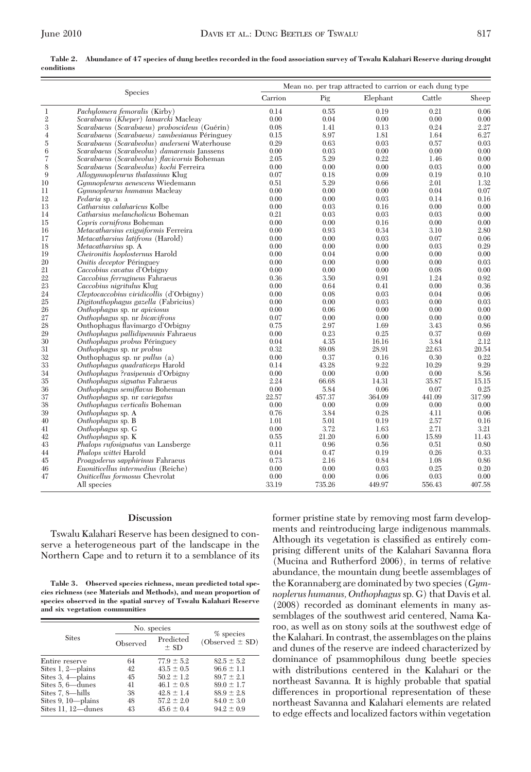**Table 2. Abundance of 47 species of dung beetles recorded in the food association survey of Tswalu Kalahari Reserve during drought conditions**

|                |                                               |              | Mean no, per trap attracted to carrion or each dung type |              |              |        |  |  |
|----------------|-----------------------------------------------|--------------|----------------------------------------------------------|--------------|--------------|--------|--|--|
|                | Species                                       | Carrion      | Pig                                                      | Elephant     | Cattle       | Sheep  |  |  |
| $\mathbf{1}$   | Pachylomera femoralis (Kirby)                 | 0.14         | 0.55                                                     | 0.19         | 0.21         | 0.06   |  |  |
| $\mathbf 2$    | Scarabaeus (Kheper) lamarcki Macleay          | 0.00         | 0.04                                                     | 0.00         | 0.00         | 0.00   |  |  |
| $\overline{3}$ | Scarabaeus (Scarabaeus) proboscideus (Guérin) | 0.08         | 1.41                                                     | 0.13         | 0.24         | 2.27   |  |  |
| $\overline{4}$ | Scarabaeus (Scarabaeus) zambesianus Péringuev | 0.15         | 8.97                                                     | 1.81         | 1.64         | 6.27   |  |  |
| $\rm 5$        | Scarabaeus (Scarabeolus) anderseni Waterhouse | 0.29         | 0.63                                                     | 0.03         | 0.57         | 0.03   |  |  |
| 6              | Scarabaeus (Scarabeolus) damarensis Janssens  | 0.00         | 0.03                                                     | 0.00         | 0.00         | 0.00   |  |  |
| $\overline{7}$ | Scarabaeus (Scarabeolus) flavicornis Boheman  | 2.05         | 5.29                                                     | 0.22         | 1.46         | 0.00   |  |  |
| 8              | Scarabaeus (Scarabeolus) kochi Ferreira       | 0.00         | 0.00                                                     | 0.00         | 0.03         | 0.00   |  |  |
| 9              | Allogymnopleurus thalassinus Klug             | 0.07         | 0.18                                                     | 0.09         | 0.19         | 0.10   |  |  |
| 10             | Gymnopleurus aenescens Wiedemann              | 0.51         | 5.29                                                     | 0.66         | 2.01         | 1.32   |  |  |
| 11             | <i>Gymnopleurus humanus</i> Macleay           | 0.00         | 0.00                                                     | 0.00         | 0.04         | 0.07   |  |  |
| 12             | Pedaria sp. a                                 | 0.00         | 0.00                                                     | 0.03         | 0.14         | 0.16   |  |  |
| 13             | Catharsius calaharicus Kolbe                  | 0.00         | 0.03                                                     | 0.16         | 0.00         | 0.00   |  |  |
| 14             | Catharsius melancholicus Boheman              | 0.21         | 0.03                                                     | 0.03         | 0.03         | 0.00   |  |  |
| 15             | Copris cornifrons Boheman                     | 0.00         | 0.00                                                     | 0.16         | 0.00         | 0.00   |  |  |
| 16             | Metacatharsius exiguiformis Ferreira          | 0.00         | 0.93                                                     | 0.34         | 3.10         | 2.80   |  |  |
| 17             | <i>Metacatharsius latifrons</i> (Harold)      | 0.00         | 0.00                                                     | 0.03         | 0.07         | 0.06   |  |  |
| 18             | <i>Metacatharsius sp. A</i>                   | 0.00         | 0.00                                                     | 0.00         | 0.03         | 0.29   |  |  |
| 19             | Cheironitis hoplosternus Harold               | 0.00         | 0.04                                                     | 0.00         | 0.00         | 0.00   |  |  |
| 20             | Onitis deceptor Péringuey                     | 0.00         | 0.00                                                     | 0.00         | 0.00         | 0.03   |  |  |
| 21             | Caccobius cavatus d'Orbigny                   | 0.00         | 0.00                                                     | 0.00         | 0.08         | 0.00   |  |  |
| 22             | Caccobius ferrugineus Fahraeus                | 0.36         | 3.50                                                     | 0.91         | 1.24         | 0.92   |  |  |
|                | Caccobius nigritulus Klug                     | 0.00         | 0.64                                                     | 0.41         | 0.00         | 0.36   |  |  |
| 23<br>24<br>25 | Cleptocaccobius viridicollis (d'Orbigny)      | 0.00         | 0.08                                                     | 0.03         | 0.04         | 0.06   |  |  |
|                | Digitonthophagus gazella (Fabricius)          | 0.00         | 0.00                                                     | 0.03         | 0.00         | 0.03   |  |  |
| 26             | Onthophagus sp. nr apiciosus                  | 0.00         | 0.06                                                     | 0.00         | 0.00         | 0.00   |  |  |
| 27             | Onthophagus sp. nr bicavifrons                | 0.07         | 0.00                                                     | 0.00         | 0.00         | 0.00   |  |  |
| 28             | Onthophagus flavimargo d'Orbigny              | 0.75         | 2.97                                                     | 1.69         | 3.43         | 0.86   |  |  |
| 29             | Onthophagus pallidipennnis Fahraeus           | 0.00         | 0.23                                                     | 0.25         | 0.37         | 0.69   |  |  |
| 30             | Onthophagus probus Péringuey                  | 0.04         | 4.35                                                     | 16.16        | 3.84         | 2.12   |  |  |
| 31             | Onthophagus sp. nr probus                     | 0.32         | 89.08                                                    | 28.91        | 22.63        | 20.54  |  |  |
| 32             | Onthophagus sp. nr $pullus(a)$                | 0.00         | 0.37                                                     | 0.16         | 0.30         | 0.22   |  |  |
| 33             | Onthophagus quadraticeps Harold               | 0.14         | 43.28                                                    | 9.22         | 10.29        | 9.29   |  |  |
| 34             | Onthophagus ?rasipennis d'Orbigny             | 0.00         | 0.00                                                     | 0.00         | 0.00         | 8.56   |  |  |
| 35             | Onthophagus signatus Fahraeus                 | 2.24         | 66.68                                                    | 14.31        | 35.87        | 15.15  |  |  |
| $\frac{1}{36}$ |                                               | 0.00         | 5.84                                                     | 0.06         | 0.07         | 0.25   |  |  |
|                | Onthophagus semiflavus Boheman                | 22.57        |                                                          | 364.09       | 441.09       |        |  |  |
| 37<br>38       | Onthophagus sp. nr variegatus                 |              | 457.37                                                   |              |              | 317.99 |  |  |
| 39             | Onthophagus verticalis Boheman                | 0.00<br>0.76 | 0.00<br>3.84                                             | 0.09<br>0.28 | 0.00<br>4.11 | 0.00   |  |  |
|                | Onthophagus sp. A                             |              |                                                          |              |              | 0.06   |  |  |
| 40             | Onthophagus sp. B                             | 1.01         | 5.01                                                     | 0.19         | 2.57         | 0.16   |  |  |
| 41             | Onthophagus sp. G                             | 0.00         | 3.72                                                     | 1.63         | 2.71         | 3.21   |  |  |
| 42             | Onthophagus sp. K                             | 0.55         | 21.20                                                    | 6.00         | 15.89        | 11.43  |  |  |
| 43             | Phalops rufosignatus van Lansberge            | 0.11         | 0.96                                                     | 0.56         | 0.51         | 0.80   |  |  |
| 44             | <i>Phalops wittei</i> Harold                  | 0.04         | 0.47                                                     | 0.19         | 0.26         | 0.33   |  |  |
| 45             | Proagoderus sapphirinus Fahraeus              | 0.73         | 2.16                                                     | 0.84         | 1.08         | 0.86   |  |  |
| 46             | Euoniticellus intermedius (Reiche)            | 0.00         | 0.00                                                     | 0.03         | 0.25         | 0.20   |  |  |
| 47             | Oniticellus formosus Chevrolat                | 0.00         | 0.00                                                     | 0.06         | 0.03         | 0.00   |  |  |
|                | All species                                   | 33.19        | 735.26                                                   | 449.97       | 556.43       | 407.58 |  |  |

## **Discussion**

Tswalu Kalahari Reserve has been designed to conserve a heterogeneous part of the landscape in the Northern Cape and to return it to a semblance of its

**Table 3. Observed species richness, mean predicted total species richness (see Materials and Methods), and mean proportion of species observed in the spatial survey of Tswalu Kalahari Reserve and six vegetation communities**

|                                                                                                                                                      |                                        | No. species                                                                                                                |                                                                                                                            |  |
|------------------------------------------------------------------------------------------------------------------------------------------------------|----------------------------------------|----------------------------------------------------------------------------------------------------------------------------|----------------------------------------------------------------------------------------------------------------------------|--|
| <b>Sites</b>                                                                                                                                         | Observed                               | Predicted<br>$±$ SD                                                                                                        | % species<br>$(Observed \pm SD)$                                                                                           |  |
| Entire reserve<br>Sites $1, 2$ —plains<br>Sites $3, 4$ -plains<br>Sites 5, 6-dunes<br>Sites 7.8-hills<br>Sites $9, 10$ —plains<br>Sites 11, 12-dunes | 64<br>42<br>45<br>41<br>38<br>48<br>43 | $77.9 \pm 5.2$<br>$43.5 \pm 0.5$<br>$50.2 \pm 1.2$<br>$46.1 \pm 0.8$<br>$42.8 \pm 1.4$<br>$57.2 \pm 2.0$<br>$45.6 \pm 0.4$ | $82.5 \pm 5.2$<br>$96.6 \pm 1.1$<br>$89.7 \pm 2.1$<br>$89.0 \pm 1.7$<br>$88.9 \pm 2.8$<br>$84.0 \pm 3.0$<br>$94.2 \pm 0.9$ |  |

former pristine state by removing most farm developments and reintroducing large indigenous mammals. Although its vegetation is classified as entirely comprising different units of the Kalahari Savanna ßora (Mucina and Rutherford 2006), in terms of relative abundance, the mountain dung beetle assemblages of the Korannaberg are dominated by two species (*Gymnoplerus humanus, Onthophagus*sp. G) that Davis et al. (2008) recorded as dominant elements in many assemblages of the southwest arid centered, Nama Karoo, as well as on stony soils at the southwest edge of the Kalahari. In contrast, the assemblages on the plains and dunes of the reserve are indeed characterized by dominance of psammophilous dung beetle species with distributions centered in the Kalahari or the northeast Savanna. It is highly probable that spatial differences in proportional representation of these northeast Savanna and Kalahari elements are related to edge effects and localized factors within vegetation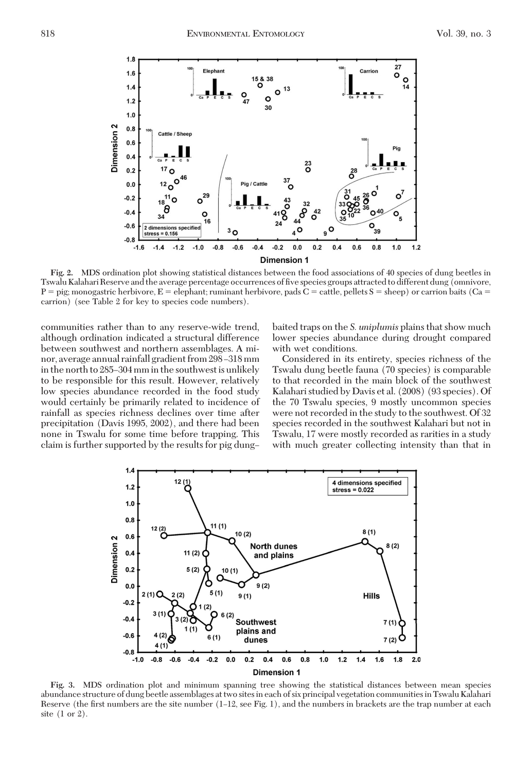

**Fig. 2.** MDS ordination plot showing statistical distances between the food associations of 40 species of dung beetles in Tswalu Kalahari Reserve and the average percentage occurrences of five species groups attracted to different dung (omnivore,  $P = \text{pig; monogastric herbivore}, E = \text{elephant; ruminant herbivore, } \text{pads } \overline{C} = \text{cattle, pellets } S = \text{sheep}$ ) or carrion baits ( $\overline{Ca} = \overline{Ca}$ carrion) (see Table 2 for key to species code numbers).

communities rather than to any reserve-wide trend, although ordination indicated a structural difference between southwest and northern assemblages. A minor, average annual rainfall gradient from 298–318 mm in the north to 285–304 mm in the southwest is unlikely to be responsible for this result. However, relatively low species abundance recorded in the food study would certainly be primarily related to incidence of rainfall as species richness declines over time after precipitation (Davis 1995, 2002), and there had been none in Tswalu for some time before trapping. This claim is further supported by the results for pig dungbaited traps on the *S. uniplumis* plains that show much lower species abundance during drought compared with wet conditions.

Considered in its entirety, species richness of the Tswalu dung beetle fauna (70 species) is comparable to that recorded in the main block of the southwest Kalahari studied by Davis et al. (2008) (93 species). Of the 70 Tswalu species, 9 mostly uncommon species were not recorded in the study to the southwest. Of 32 species recorded in the southwest Kalahari but not in Tswalu, 17 were mostly recorded as rarities in a study with much greater collecting intensity than that in



**Fig. 3.** MDS ordination plot and minimum spanning tree showing the statistical distances between mean species abundance structure of dung beetle assemblages at two sitesin each of six principal vegetation communitiesin Tswalu Kalahari Reserve (the first numbers are the site number (1–12, see Fig. 1), and the numbers in brackets are the trap number at each site (1 or 2).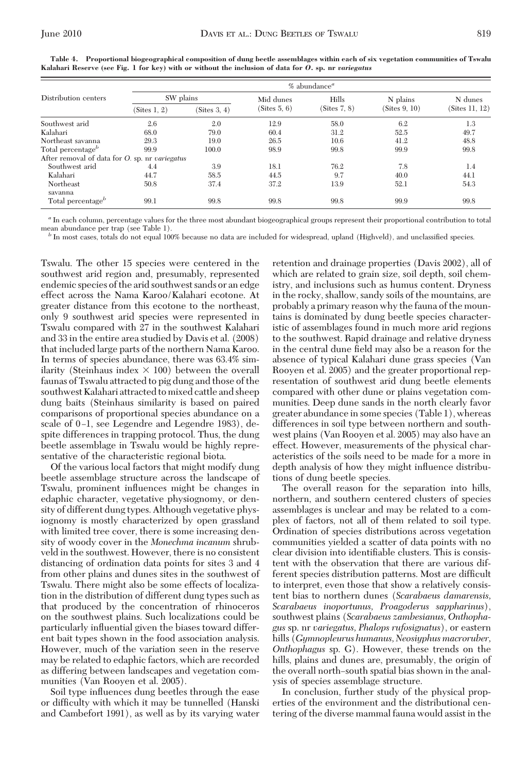|                                                | $%$ abundance <sup><math>a</math></sup> |              |              |              |               |                |  |  |
|------------------------------------------------|-----------------------------------------|--------------|--------------|--------------|---------------|----------------|--|--|
| Distribution centers                           | SW plains                               |              | Mid dunes    | Hills        | N plains      | N dunes        |  |  |
|                                                | (Sites 1, 2)                            | (Sites 3, 4) | (Sites 5, 6) | (Sites 7, 8) | (Sites 9, 10) | (Sites 11, 12) |  |  |
| Southwest arid                                 | 2.6                                     | 2.0          | 12.9         | 58.0         | 6.2           | 1.3            |  |  |
| Kalahari                                       | 68.0                                    | 79.0         | 60.4         | 31.2         | 52.5          | 49.7           |  |  |
| Northeast savanna                              | 29.3                                    | 19.0         | 26.5         | 10.6         | 41.2          | 48.8           |  |  |
| Total percentage <sup>b</sup>                  | 99.9                                    | 100.0        | 98.9         | 99.8         | 99.9          | 99.8           |  |  |
| After removal of data for O. sp. nr variegatus |                                         |              |              |              |               |                |  |  |
| Southwest arid                                 | 4.4                                     | 3.9          | 18.1         | 76.2         | 7.8           | 1.4            |  |  |
| Kalahari                                       | 44.7                                    | 58.5         | 44.5         | 9.7          | 40.0          | 44.1           |  |  |
| Northeast<br>savanna                           | 50.8                                    | 37.4         | 37.2         | 13.9         | 52.1          | 54.3           |  |  |
| Total percentage <sup>b</sup>                  | 99.1                                    | 99.8         | 99.8         | 99.8         | 99.9          | 99.8           |  |  |

**Table 4. Proportional biogeographical composition of dung beetle assemblages within each of six vegetation communities of Tswalu Kalahari Reserve (see Fig. 1 for key) with or without the inclusion of data for** *O.* **sp. nr** *variegatus*

*<sup>a</sup>* In each column, percentage values for the three most abundant biogeographical groups represent their proportional contribution to total

<sup>b</sup> In most cases, totals do not equal 100% because no data are included for widespread, upland (Highveld), and unclassified species.

Tswalu. The other 15 species were centered in the southwest arid region and, presumably, represented endemic species of the arid southwest sands or an edge effect across the Nama Karoo/Kalahari ecotone. At greater distance from this ecotone to the northeast, only 9 southwest arid species were represented in Tswalu compared with 27 in the southwest Kalahari and 33 in the entire area studied by Davis et al. (2008) that included large parts of the northern Nama Karoo. In terms of species abundance, there was 63.4% similarity (Steinhaus index  $\times$  100) between the overall faunas of Tswalu attracted to pig dung and those of the southwest Kalahari attracted to mixed cattle and sheep dung baits (Steinhaus similarity is based on paired comparisons of proportional species abundance on a scale of 0-1, see Legendre and Legendre 1983), despite differences in trapping protocol. Thus, the dung beetle assemblage in Tswalu would be highly representative of the characteristic regional biota.

Of the various local factors that might modify dung beetle assemblage structure across the landscape of Tswalu, prominent inßuences might be changes in edaphic character, vegetative physiognomy, or density of different dung types. Although vegetative physiognomy is mostly characterized by open grassland with limited tree cover, there is some increasing density of woody cover in the *Monechma incanum* shrubveld in the southwest. However, there is no consistent distancing of ordination data points for sites 3 and 4 from other plains and dunes sites in the southwest of Tswalu. There might also be some effects of localization in the distribution of different dung types such as that produced by the concentration of rhinoceros on the southwest plains. Such localizations could be particularly inßuential given the biases toward different bait types shown in the food association analysis. However, much of the variation seen in the reserve may be related to edaphic factors, which are recorded as differing between landscapes and vegetation communities (Van Rooyen et al. 2005).

Soil type inßuences dung beetles through the ease or difficulty with which it may be tunnelled (Hanski and Cambefort 1991), as well as by its varying water retention and drainage properties (Davis 2002), all of which are related to grain size, soil depth, soil chemistry, and inclusions such as humus content. Dryness in the rocky, shallow, sandy soils of the mountains, are probably a primary reason why the fauna of the mountains is dominated by dung beetle species characteristic of assemblages found in much more arid regions to the southwest. Rapid drainage and relative dryness in the central dune field may also be a reason for the absence of typical Kalahari dune grass species (Van Rooyen et al. 2005) and the greater proportional representation of southwest arid dung beetle elements compared with other dune or plains vegetation communities. Deep dune sands in the north clearly favor greater abundance in some species (Table 1), whereas differences in soil type between northern and southwest plains (Van Rooyen et al. 2005) may also have an effect. However, measurements of the physical characteristics of the soils need to be made for a more in depth analysis of how they might influence distributions of dung beetle species.

The overall reason for the separation into hills, northern, and southern centered clusters of species assemblages is unclear and may be related to a complex of factors, not all of them related to soil type. Ordination of species distributions across vegetation communities yielded a scatter of data points with no clear division into identifiable clusters. This is consistent with the observation that there are various different species distribution patterns. Most are difficult to interpret, even those that show a relatively consistent bias to northern dunes (*Scarabaeus damarensis, Scarabaeus inoportunus, Proagoderus sappharinus*), southwest plains (*Scarabaeus zambesianus, Onthophagus* sp. nr *variegatus, Phalops rufosignatus*), or eastern hills (*Gymnopleurus humanus, Neosiyphus macroruber, Onthophagus* sp. G). However, these trends on the hills, plains and dunes are, presumably, the origin of the overall north–south spatial bias shown in the analysis of species assemblage structure.

In conclusion, further study of the physical properties of the environment and the distributional centering of the diverse mammal fauna would assist in the